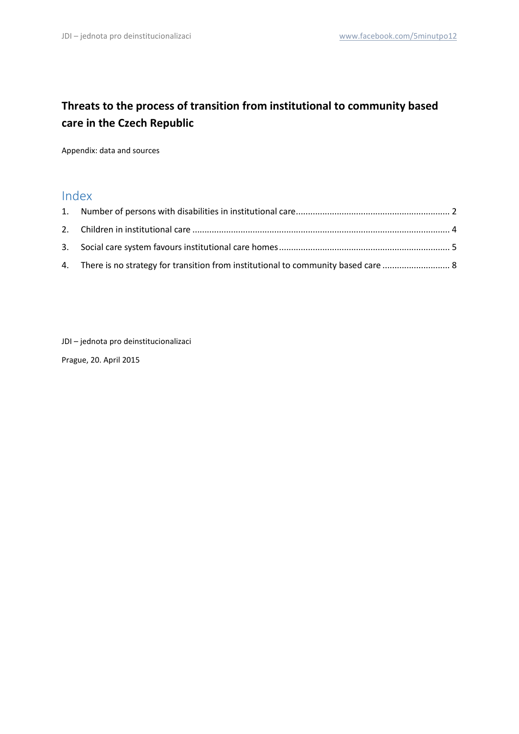# **Threats to the process of transition from institutional to community based care in the Czech Republic**

Appendix: data and sources

## Index

JDI – jednota pro deinstitucionalizaci

Prague, 20. April 2015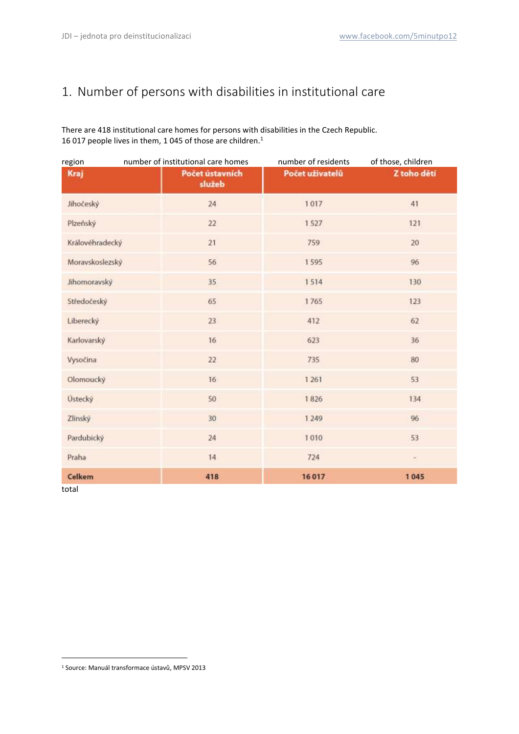## <span id="page-1-0"></span>1. Number of persons with disabilities in institutional care

There are 418 institutional care homes for persons with disabilities in the Czech Republic. 16 017 people lives in them, 1 045 of those are children. 1

| region          | number of institutional care homes | number of residents | of those, children |  |  |
|-----------------|------------------------------------|---------------------|--------------------|--|--|
| Kraj            | Počet ústavních<br>služeb          | Počet uživatelů     | Z toho dětí        |  |  |
| Jihočeský       | 24                                 | 1017                | 41                 |  |  |
| Plzeňský        | 22                                 | 1527                | 121                |  |  |
| Královéhradecký | 21                                 | 759                 | 20                 |  |  |
| Moravskoslezský | 56                                 | 1595                | 96                 |  |  |
| Jihomoravský    | 35                                 | 1514                | 130                |  |  |
| Středočeský     | 65                                 | 1765                | 123                |  |  |
| Liberecký       | 23.                                | 412                 | 62                 |  |  |
| Karlovarský     | 16                                 | 623                 | 36                 |  |  |
| Vysočina        | 22                                 | 735                 | 80                 |  |  |
| Olomoucký       | 16                                 | 1 2 6 1             | 53                 |  |  |
| Ústecký         | 50                                 | 1826                | 134                |  |  |
| Zlínský         | 30                                 | 1 2 4 9             | 96                 |  |  |
| Pardubický      | 24                                 | 1010                | 53                 |  |  |
| Praha           | 14                                 | 724                 | ۰.                 |  |  |
| Celkem          | 418                                | 16017               | 1045               |  |  |

total

**.** 

<sup>1</sup> Source: Manuál transformace ústavů, MPSV 2013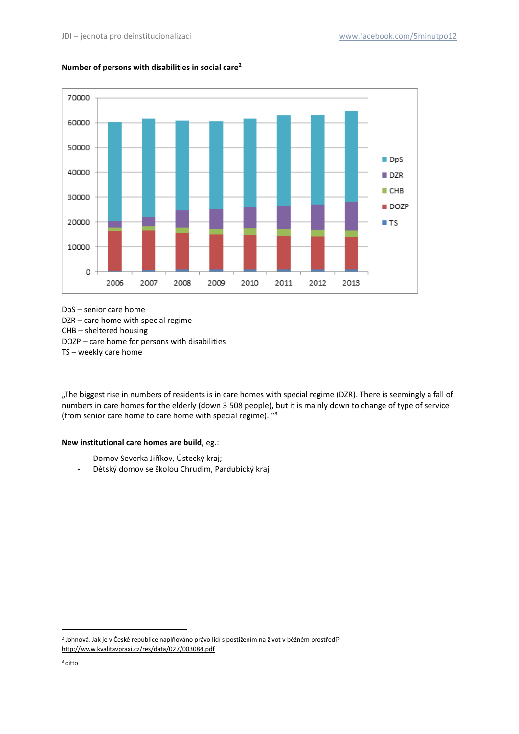

### **Number of persons with disabilities in social care<sup>2</sup>**

DpS – senior care home DZR – care home with special regime CHB – sheltered housing DOZP – care home for persons with disabilities TS – weekly care home

"The biggest rise in numbers of residents is in care homes with special regime (DZR). There is seemingly a fall of numbers in care homes for the elderly (down 3 508 people), but it is mainly down to change of type of service (from senior care home to care home with special regime). "3

#### **New institutional care homes are build,** eg.:

- Domov Severka Jiříkov, Ústecký kraj;
- Dětský domov se školou Chrudim, Pardubický kraj

**.** 

<sup>2</sup> Johnová, Jak je v České republice naplňováno právo lidí s postižením na život v běžném prostředí? <http://www.kvalitavpraxi.cz/res/data/027/003084.pdf>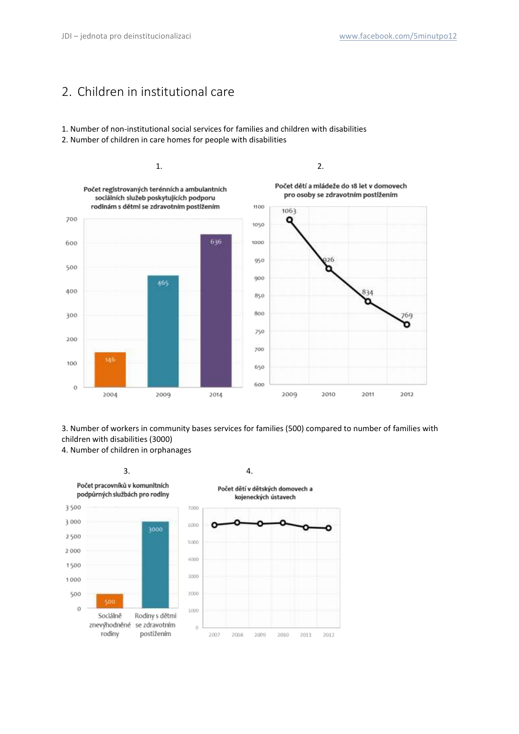## <span id="page-3-0"></span>2. Children in institutional care

1. Number of non-institutional social services for families and children with disabilities 2. Number of children in care homes for people with disabilities



3. Number of workers in community bases services for families (500) compared to number of families with children with disabilities (3000)

4. Number of children in orphanages

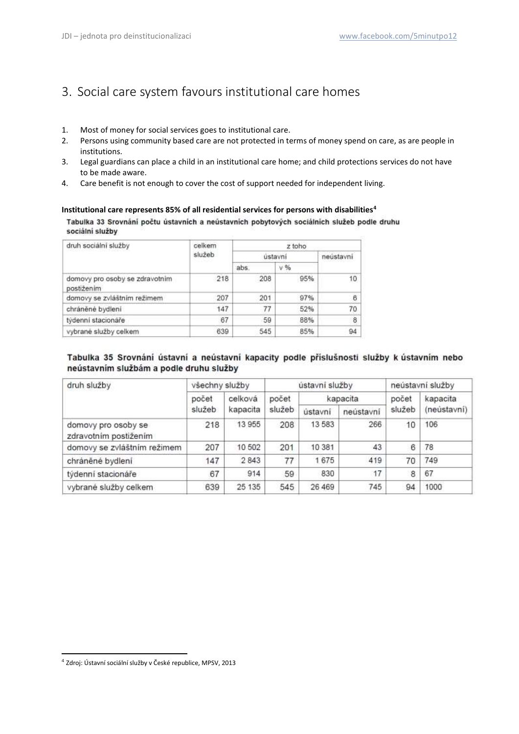## <span id="page-4-0"></span>3. Social care system favours institutional care homes

- 1. Most of money for social services goes to institutional care.
- 2. Persons using community based care are not protected in terms of money spend on care, as are people in institutions.
- 3. Legal guardians can place a child in an institutional care home; and child protections services do not have to be made aware.
- 4. Care benefit is not enough to cover the cost of support needed for independent living.

#### **Institutional care represents 85% of all residential services for persons with disabilities<sup>4</sup>**

Tabulka 33 Srovnání počtu ústavních a neústavních pobytových sociálních služeb podle druhu sociální služby

| celkem | z toho |           |                |  |
|--------|--------|-----------|----------------|--|
| služeb |        | neústavní |                |  |
|        | abs.   | $V$ %     |                |  |
| 218    | 208    | 95%       | 10             |  |
| 207    | 201    | 97%       | $_{\rm 6}$     |  |
| 147    | 77     | 52%       | 70             |  |
| 67     | 59     | 88%       | $\overline{8}$ |  |
| 639    | 545    | 85%       | 94             |  |
|        |        |           | ústavní        |  |

### Tabulka 35 Srovnání ústavní a neústavní kapacity podle příslušnosti služby k ústavním nebo neústavním službám a podle druhu služby

| druh služby                                  | všechny služby |          | ústavní služby |          |           | neústavní služby |             |
|----------------------------------------------|----------------|----------|----------------|----------|-----------|------------------|-------------|
|                                              | počet          | celková  | počet          | kapacita |           | počet            | kapacita    |
|                                              | služeb         | kapacita | služeb         | ústavní  | neústavní | služeb           | (neústavní) |
| domovy pro osoby se<br>zdravotním postižením | 218            | 13955    | 208            | 13 583   | 266       | 10               | 106         |
| domovy se zvláštním režimem                  | 207            | 10 502   | 201            | 10 381   | 43        | 6                | 78          |
| chráněné bydlení                             | 147            | 2843     | 77             | 1675     | 419       | 70               | 749         |
| týdenní stacionáře                           | 67             | 914      | 59             | 830      | 17        | 8                | 67          |
| vybrané služby celkem                        | 639            | 25 135   | 545            | 26 469   | 745       | 94               | 1000        |

1

<sup>4</sup> Zdroj: Ústavní sociální služby v České republice, MPSV, 2013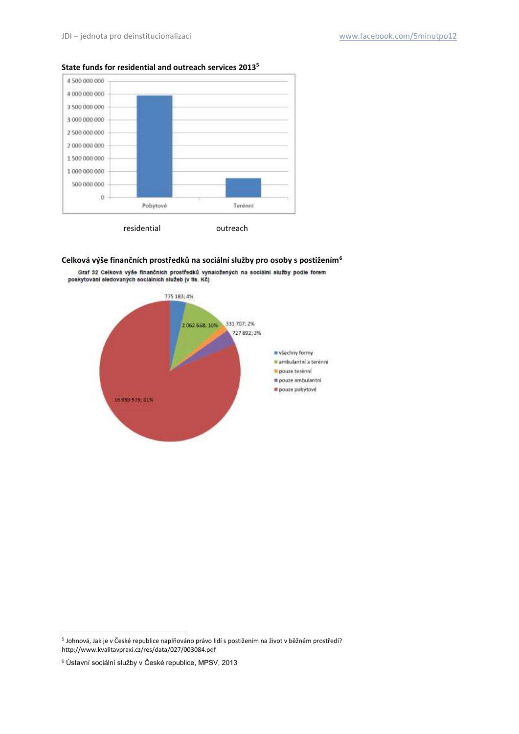



#### **Celková výše finančních prostředků na sociální služby pro osoby s postižením<sup>6</sup>**



Graf 32 Celková výše finančních prostředků vynaložených na sociální služby podle forem poskytování sledovaných sociálních služeb (v tis. Kč)

 5 Johnová, Jak je v České republice naplňováno právo lidí s postižením na život v běžném prostředí? <http://www.kvalitavpraxi.cz/res/data/027/003084.pdf>

<sup>6</sup> Ústavní sociální služby v České republice, MPSV, 2013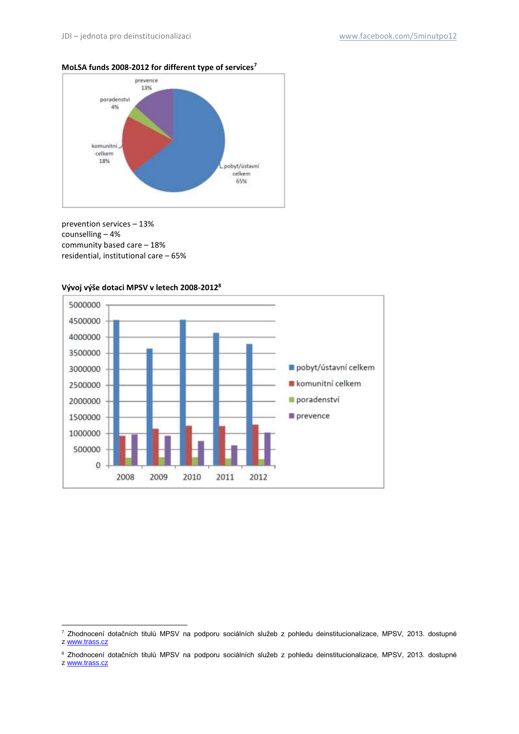



prevention services – 13% counselling – 4% community based care – 18% residential, institutional care – 65%



**Vývoj výše dotaci MPSV v letech 2008-2012<sup>8</sup>**

1

<sup>7</sup> Zhodnocení dotačních titulů MPSV na podporu sociálních služeb z pohledu deinstitucionalizace, MPSV, 2013. dostupné z [www.trass.cz](http://www.trass.cz/)

<sup>&</sup>lt;sup>8</sup> Zhodnocení dotačních titulů MPSV na podporu sociálních služeb z pohledu deinstitucionalizace, MPSV, 2013. dostupné

z [www.trass.cz](http://www.trass.cz/)